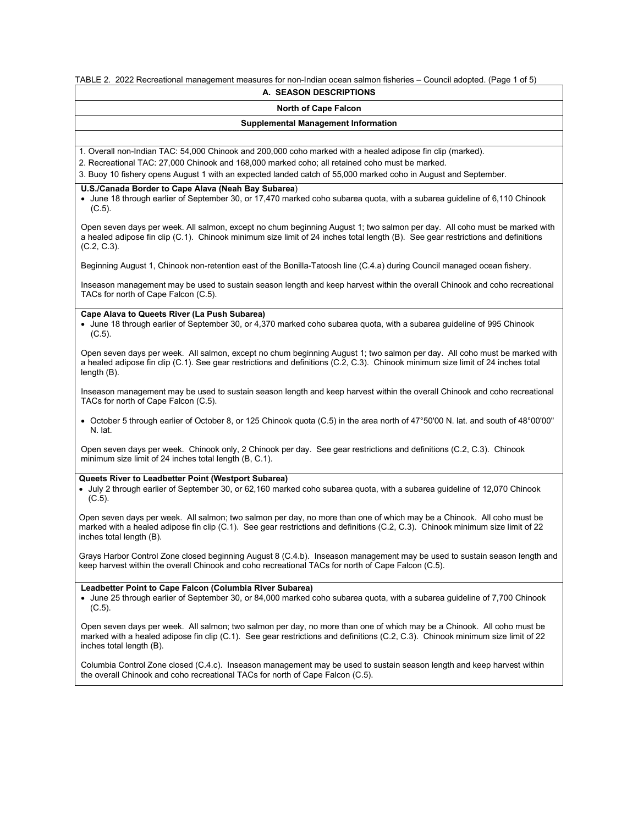TABLE 2. 2022 Recreational management measures for non-Indian ocean salmon fisheries – Council adopted. (Page 1 of 5)

### **A. SEASON DESCRIPTIONS**

# **North of Cape Falcon**

### **Supplemental Management Information**

1. Overall non-Indian TAC: 54,000 Chinook and 200,000 coho marked with a healed adipose fin clip (marked).

2. Recreational TAC: 27,000 Chinook and 168,000 marked coho; all retained coho must be marked.

3. Buoy 10 fishery opens August 1 with an expected landed catch of 55,000 marked coho in August and September.

# **U.S./Canada Border to Cape Alava (Neah Bay Subarea**)

• June 18 through earlier of September 30, or 17,470 marked coho subarea quota, with a subarea guideline of 6,110 Chinook (C.5).

Open seven days per week. All salmon, except no chum beginning August 1; two salmon per day. All coho must be marked with a healed adipose fin clip (C.1). Chinook minimum size limit of 24 inches total length (B). See gear restrictions and definitions (C.2, C.3).

Beginning August 1, Chinook non-retention east of the Bonilla-Tatoosh line (C.4.a) during Council managed ocean fishery.

Inseason management may be used to sustain season length and keep harvest within the overall Chinook and coho recreational TACs for north of Cape Falcon (C.5).

# **Cape Alava to Queets River (La Push Subarea)**

• June 18 through earlier of September 30, or 4,370 marked coho subarea quota, with a subarea guideline of 995 Chinook (C.5).

Open seven days per week. All salmon, except no chum beginning August 1; two salmon per day. All coho must be marked with a healed adipose fin clip (C.1). See gear restrictions and definitions (C.2, C.3). Chinook minimum size limit of 24 inches total length (B).

Inseason management may be used to sustain season length and keep harvest within the overall Chinook and coho recreational TACs for north of Cape Falcon (C.5).

• October 5 through earlier of October 8, or 125 Chinook quota (C.5) in the area north of 47°50'00 N. lat. and south of 48°00'00" N. lat.

Open seven days per week. Chinook only, 2 Chinook per day. See gear restrictions and definitions (C.2, C.3). Chinook minimum size limit of 24 inches total length (B, C.1).

### **Queets River to Leadbetter Point (Westport Subarea)**

• July 2 through earlier of September 30, or 62,160 marked coho subarea quota, with a subarea guideline of 12,070 Chinook (C.5).

Open seven days per week. All salmon; two salmon per day, no more than one of which may be a Chinook. All coho must be marked with a healed adipose fin clip (C.1). See gear restrictions and definitions (C.2, C.3). Chinook minimum size limit of 22 inches total length (B).

Grays Harbor Control Zone closed beginning August 8 (C.4.b). Inseason management may be used to sustain season length and keep harvest within the overall Chinook and coho recreational TACs for north of Cape Falcon (C.5).

# **Leadbetter Point to Cape Falcon (Columbia River Subarea)**

• June 25 through earlier of September 30, or 84,000 marked coho subarea quota, with a subarea guideline of 7,700 Chinook (C.5).

Open seven days per week. All salmon; two salmon per day, no more than one of which may be a Chinook. All coho must be marked with a healed adipose fin clip (C.1). See gear restrictions and definitions (C.2, C.3). Chinook minimum size limit of 22 inches total length (B).

Columbia Control Zone closed (C.4.c). Inseason management may be used to sustain season length and keep harvest within the overall Chinook and coho recreational TACs for north of Cape Falcon (C.5).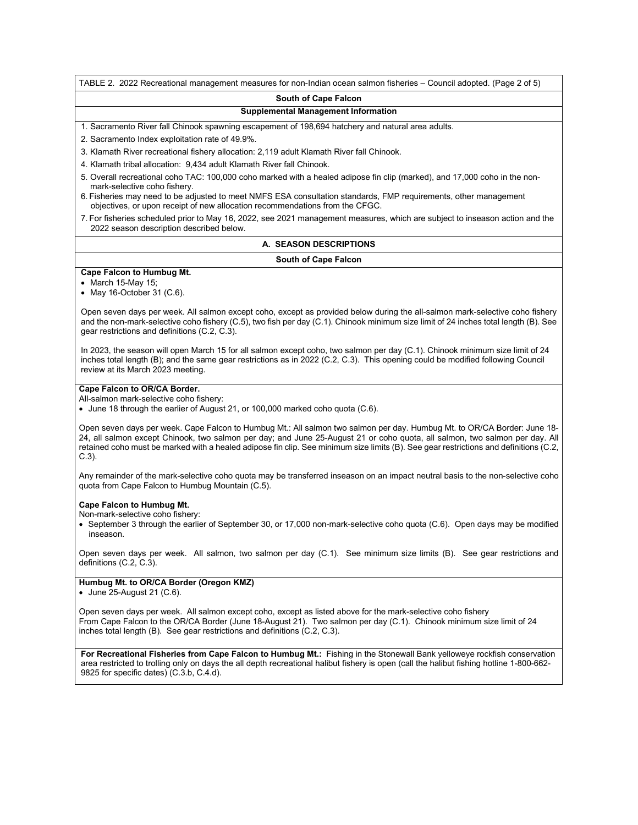TABLE 2. 2022 Recreational management measures for non-Indian ocean salmon fisheries – Council adopted. (Page 2 of 5)

#### **South of Cape Falcon**

#### **Supplemental Management Information**

1. Sacramento River fall Chinook spawning escapement of 198,694 hatchery and natural area adults.

2. Sacramento Index exploitation rate of 49.9%.

3. Klamath River recreational fishery allocation: 2,119 adult Klamath River fall Chinook.

4. Klamath tribal allocation: 9,434 adult Klamath River fall Chinook.

- 5. Overall recreational coho TAC: 100,000 coho marked with a healed adipose fin clip (marked), and 17,000 coho in the nonmark-selective coho fishery.
- 6. Fisheries may need to be adjusted to meet NMFS ESA consultation standards, FMP requirements, other management objectives, or upon receipt of new allocation recommendations from the CFGC.
- 7. For fisheries scheduled prior to May 16, 2022, see 2021 management measures, which are subject to inseason action and the 2022 season description described below.

### **A. SEASON DESCRIPTIONS**

#### **South of Cape Falcon**

**Cape Falcon to Humbug Mt.**

• March 15-May 15;

• May 16-October 31 (C.6).

Open seven days per week. All salmon except coho, except as provided below during the all-salmon mark-selective coho fishery and the non-mark-selective coho fishery (C.5), two fish per day (C.1). Chinook minimum size limit of 24 inches total length (B). See gear restrictions and definitions (C.2, C.3).

In 2023, the season will open March 15 for all salmon except coho, two salmon per day (C.1). Chinook minimum size limit of 24 inches total length (B); and the same gear restrictions as in 2022 (C.2, C.3). This opening could be modified following Council review at its March 2023 meeting.

### **Cape Falcon to OR/CA Border.**

All-salmon mark-selective coho fishery:

• June 18 through the earlier of August 21, or 100,000 marked coho quota (C.6).

Open seven days per week. Cape Falcon to Humbug Mt.: All salmon two salmon per day. Humbug Mt. to OR/CA Border: June 18- 24, all salmon except Chinook, two salmon per day; and June 25-August 21 or coho quota, all salmon, two salmon per day. All retained coho must be marked with a healed adipose fin clip. See minimum size limits (B). See gear restrictions and definitions (C.2, C.3).

Any remainder of the mark-selective coho quota may be transferred inseason on an impact neutral basis to the non-selective coho quota from Cape Falcon to Humbug Mountain (C.5).

#### **Cape Falcon to Humbug Mt.**

Non-mark-selective coho fishery:

• September 3 through the earlier of September 30, or 17,000 non-mark-selective coho quota (C.6). Open days may be modified inseason.

Open seven days per week. All salmon, two salmon per day (C.1). See minimum size limits (B). See gear restrictions and definitions (C.2, C.3).

### **Humbug Mt. to OR/CA Border (Oregon KMZ)**

• June 25-August 21 (C.6).

Open seven days per week. All salmon except coho, except as listed above for the mark-selective coho fishery From Cape Falcon to the OR/CA Border (June 18-August 21). Two salmon per day (C.1). Chinook minimum size limit of 24 inches total length (B). See gear restrictions and definitions (C.2, C.3).

**For Recreational Fisheries from Cape Falcon to Humbug Mt.:** Fishing in the Stonewall Bank yelloweye rockfish conservation area restricted to trolling only on days the all depth recreational halibut fishery is open (call the halibut fishing hotline 1-800-662- 9825 for specific dates) (C.3.b, C.4.d).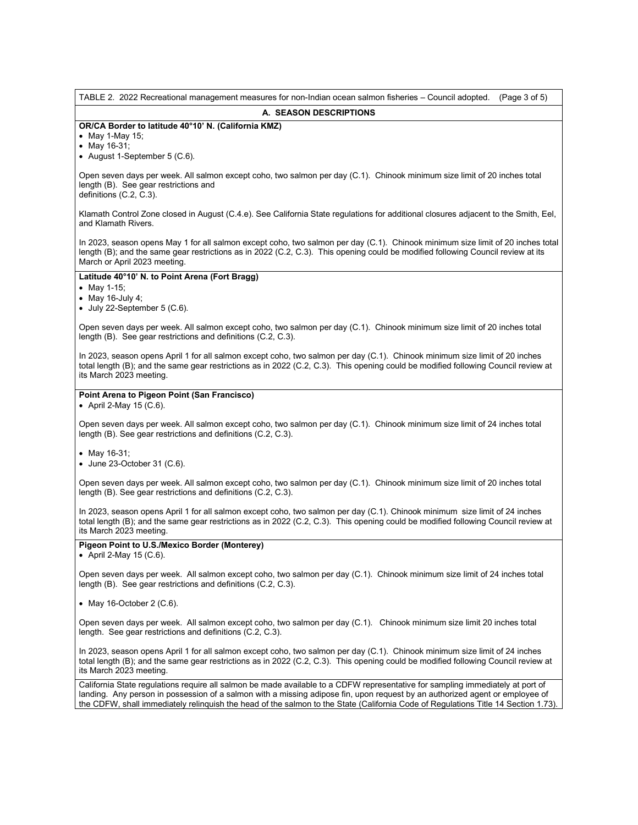| TABLE 2. 2022 Recreational management measures for non-Indian ocean salmon fisheries - Council adopted.<br>(Page 3 of 5)                                                                                                                                                                                                                                                                             |  |  |  |  |
|------------------------------------------------------------------------------------------------------------------------------------------------------------------------------------------------------------------------------------------------------------------------------------------------------------------------------------------------------------------------------------------------------|--|--|--|--|
| A. SEASON DESCRIPTIONS                                                                                                                                                                                                                                                                                                                                                                               |  |  |  |  |
| OR/CA Border to latitude 40°10' N. (California KMZ)<br>• May 1-May 15;<br>• May 16-31;<br>• August 1-September 5 (C.6).                                                                                                                                                                                                                                                                              |  |  |  |  |
| Open seven days per week. All salmon except coho, two salmon per day (C.1). Chinook minimum size limit of 20 inches total<br>length (B). See gear restrictions and<br>definitions (C.2, C.3).                                                                                                                                                                                                        |  |  |  |  |
| Klamath Control Zone closed in August (C.4.e). See California State regulations for additional closures adjacent to the Smith, Eel,<br>and Klamath Rivers.                                                                                                                                                                                                                                           |  |  |  |  |
| In 2023, season opens May 1 for all salmon except coho, two salmon per day (C.1). Chinook minimum size limit of 20 inches total<br>length (B); and the same gear restrictions as in 2022 (C.2, C.3). This opening could be modified following Council review at its<br>March or April 2023 meeting.                                                                                                  |  |  |  |  |
| Latitude 40°10' N. to Point Arena (Fort Bragg)<br>• May 1-15;<br>$\bullet$ May 16-July 4;<br>$\bullet$ July 22-September 5 (C.6).                                                                                                                                                                                                                                                                    |  |  |  |  |
| Open seven days per week. All salmon except coho, two salmon per day (C.1). Chinook minimum size limit of 20 inches total<br>length (B). See gear restrictions and definitions (C.2, C.3).                                                                                                                                                                                                           |  |  |  |  |
| In 2023, season opens April 1 for all salmon except coho, two salmon per day (C.1). Chinook minimum size limit of 20 inches<br>total length (B); and the same gear restrictions as in 2022 (C.2, C.3). This opening could be modified following Council review at<br>its March 2023 meeting.                                                                                                         |  |  |  |  |
| Point Arena to Pigeon Point (San Francisco)<br>• April 2-May 15 (C.6).                                                                                                                                                                                                                                                                                                                               |  |  |  |  |
| Open seven days per week. All salmon except coho, two salmon per day (C.1). Chinook minimum size limit of 24 inches total<br>length (B). See gear restrictions and definitions (C.2, C.3).                                                                                                                                                                                                           |  |  |  |  |
| • May 16-31;<br>• June 23-October 31 (C.6).                                                                                                                                                                                                                                                                                                                                                          |  |  |  |  |
| Open seven days per week. All salmon except coho, two salmon per day (C.1). Chinook minimum size limit of 20 inches total<br>length (B). See gear restrictions and definitions (C.2, C.3).                                                                                                                                                                                                           |  |  |  |  |
| In 2023, season opens April 1 for all salmon except coho, two salmon per day (C.1). Chinook minimum size limit of 24 inches<br>total length (B); and the same gear restrictions as in 2022 (C.2, C.3). This opening could be modified following Council review at<br>its March 2023 meeting.                                                                                                         |  |  |  |  |
| Pigeon Point to U.S./Mexico Border (Monterey)<br>April 2-May 15 (C.6).                                                                                                                                                                                                                                                                                                                               |  |  |  |  |
| Open seven days per week. All salmon except coho, two salmon per day (C.1). Chinook minimum size limit of 24 inches total<br>length (B). See gear restrictions and definitions (C.2, C.3).                                                                                                                                                                                                           |  |  |  |  |
| • May 16-October 2 $(C.6)$ .                                                                                                                                                                                                                                                                                                                                                                         |  |  |  |  |
| Open seven days per week. All salmon except coho, two salmon per day (C.1). Chinook minimum size limit 20 inches total<br>length. See gear restrictions and definitions (C.2, C.3).                                                                                                                                                                                                                  |  |  |  |  |
| In 2023, season opens April 1 for all salmon except coho, two salmon per day (C.1). Chinook minimum size limit of 24 inches<br>total length (B); and the same gear restrictions as in 2022 (C.2, C.3). This opening could be modified following Council review at<br>its March 2023 meeting.                                                                                                         |  |  |  |  |
| California State regulations require all salmon be made available to a CDFW representative for sampling immediately at port of<br>landing. Any person in possession of a salmon with a missing adipose fin, upon request by an authorized agent or employee of<br>the CDFW, shall immediately relinquish the head of the salmon to the State (California Code of Regulations Title 14 Section 1.73). |  |  |  |  |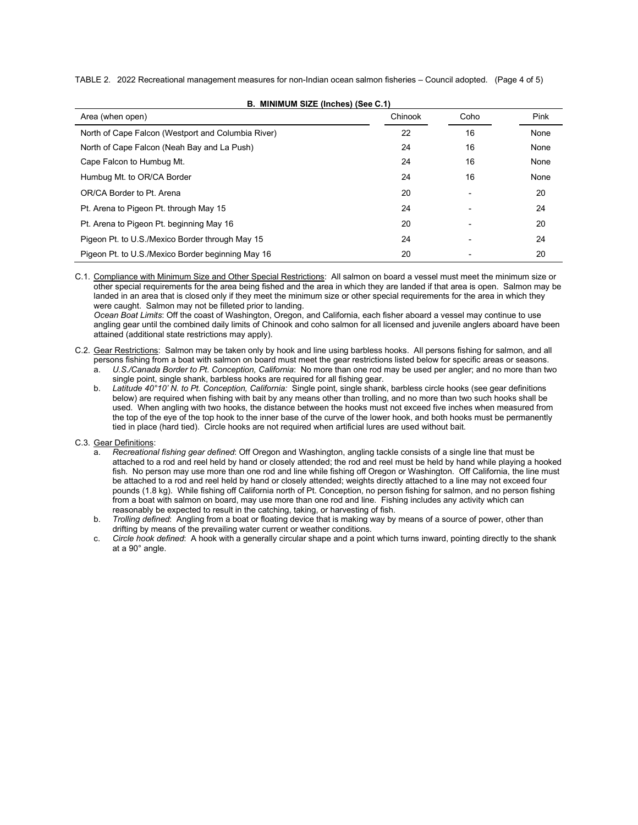TABLE 2. 2022 Recreational management measures for non-Indian ocean salmon fisheries – Council adopted. (Page 4 of 5)

**B. MINIMUM SIZE (Inches) (See C.1)**

| Area (when open)                                   | Chinook | Coho                     | Pink |
|----------------------------------------------------|---------|--------------------------|------|
| North of Cape Falcon (Westport and Columbia River) | 22      | 16                       | None |
| North of Cape Falcon (Neah Bay and La Push)        | 24      | 16                       | None |
| Cape Falcon to Humbug Mt.                          | 24      | 16                       | None |
| Humbug Mt. to OR/CA Border                         | 24      | 16                       | None |
| OR/CA Border to Pt. Arena                          | 20      | $\overline{\phantom{a}}$ | 20   |
| Pt. Arena to Pigeon Pt. through May 15             | 24      |                          | 24   |
| Pt. Arena to Pigeon Pt. beginning May 16           | 20      |                          | 20   |
| Pigeon Pt. to U.S./Mexico Border through May 15    | 24      | $\overline{\phantom{a}}$ | 24   |
| Pigeon Pt. to U.S./Mexico Border beginning May 16  | 20      |                          | 20   |

C.1. Compliance with Minimum Size and Other Special Restrictions: All salmon on board a vessel must meet the minimum size or other special requirements for the area being fished and the area in which they are landed if that area is open. Salmon may be landed in an area that is closed only if they meet the minimum size or other special requirements for the area in which they were caught. Salmon may not be filleted prior to landing.

*Ocean Boat Limits*: Off the coast of Washington, Oregon, and California, each fisher aboard a vessel may continue to use angling gear until the combined daily limits of Chinook and coho salmon for all licensed and juvenile anglers aboard have been attained (additional state restrictions may apply).

C.2. Gear Restrictions: Salmon may be taken only by hook and line using barbless hooks. All persons fishing for salmon, and all persons fishing from a boat with salmon on board must meet the gear restrictions listed below for specific areas or seasons.

a. *U.S./Canada Border to Pt. Conception, California*: No more than one rod may be used per angler; and no more than two single point, single shank, barbless hooks are required for all fishing gear.

- b. *Latitude 40°10' N. to Pt. Conception, California:* Single point, single shank, barbless circle hooks (see gear definitions below) are required when fishing with bait by any means other than trolling, and no more than two such hooks shall be used. When angling with two hooks, the distance between the hooks must not exceed five inches when measured from the top of the eye of the top hook to the inner base of the curve of the lower hook, and both hooks must be permanently tied in place (hard tied). Circle hooks are not required when artificial lures are used without bait.
- C.3. Gear Definitions:
	- a. *Recreational fishing gear defined*: Off Oregon and Washington, angling tackle consists of a single line that must be attached to a rod and reel held by hand or closely attended; the rod and reel must be held by hand while playing a hooked fish. No person may use more than one rod and line while fishing off Oregon or Washington. Off California, the line must be attached to a rod and reel held by hand or closely attended; weights directly attached to a line may not exceed four pounds (1.8 kg). While fishing off California north of Pt. Conception, no person fishing for salmon, and no person fishing from a boat with salmon on board, may use more than one rod and line. Fishing includes any activity which can reasonably be expected to result in the catching, taking, or harvesting of fish.
	- b. *Trolling defined*: Angling from a boat or floating device that is making way by means of a source of power, other than drifting by means of the prevailing water current or weather conditions.
	- c. *Circle hook defined*: A hook with a generally circular shape and a point which turns inward, pointing directly to the shank at a 90° angle.